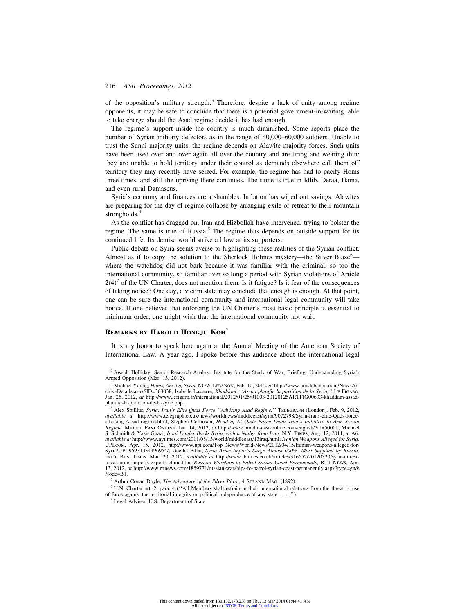of the opposition's military strength. $3$  Therefore, despite a lack of unity among regime opponents, it may be safe to conclude that there is a potential government-in-waiting, able to take charge should the Asad regime decide it has had enough.

The regime's support inside the country is much diminished. Some reports place the number of Syrian military defectors as in the range of 40,000–60,000 soldiers. Unable to trust the Sunni majority units, the regime depends on Alawite majority forces. Such units have been used over and over again all over the country and are tiring and wearing thin: they are unable to hold territory under their control as demands elsewhere call them off territory they may recently have seized. For example, the regime has had to pacify Homs three times, and still the uprising there continues. The same is true in Idlib, Deraa, Hama, and even rural Damascus.

Syria's economy and finances are a shambles. Inflation has wiped out savings. Alawites are preparing for the day of regime collapse by arranging exile or retreat to their mountain strongholds.<sup>4</sup>

As the conflict has dragged on, Iran and Hizbollah have intervened, trying to bolster the regime. The same is true of Russia.<sup>5</sup> The regime thus depends on outside support for its continued life. Its demise would strike a blow at its supporters.

Public debate on Syria seems averse to highlighting these realities of the Syrian conflict. Almost as if to copy the solution to the Sherlock Holmes mystery—the Silver Blaze $6$  where the watchdog did not bark because it was familiar with the criminal, so too the international community, so familiar over so long a period with Syrian violations of Article  $2(4)^7$  of the UN Charter, does not mention them. Is it fatigue? Is it fear of the consequences of taking notice? One day, a victim state may conclude that enough is enough. At that point, one can be sure the international community and international legal community will take notice. If one believes that enforcing the UN Charter's most basic principle is essential to minimum order, one might wish that the international community not wait.

## **Remarks by Harold Hongju Koh**\*

It is my honor to speak here again at the Annual Meeting of the American Society of International Law. A year ago, I spoke before this audience about the international legal

<sup>4</sup> Michael Young, *Homs, Anvil of Syria,* NOW Lebanon, Feb. 10, 2012, *at* http://www.nowlebanon.com/NewsArchiveDetails.aspx?ID=363038; Isabelle Lasserre, *Khaddam: ''Assad planifie la partition de la Syria,''* Le Figaro, Jan. 25, 2012, *at* http://www.lefigaro.fr/international/2012/01/25/01003-20120125ARTFIG00633-khaddam-assadplanifie-la-partition-de-la-syrie.php.

<sup>5</sup> Alex Spillius, *Syria: Iran's Elite Quds Force ''Advising Asad Regime,''* Telegraph (London), Feb. 9, 2012, *available at* http://www.telegraph.co.uk/news/worldnews/middleeast/syria/9072798/Syria-Irans-elite-Quds-forceadvising-Assad-regime.html; Stephen Collinson, *Head of Al Quds Force Leads Iran's Initiative to Arm Syrian Regime,* Middle East Online, Jan. 14, 2012, *at* http://www.middle-east-online.com/english/?id=50001; Michael S. Schmidt & Yasir Ghazi, *Iraqi Leader Backs Syria, with a Nudge from Iran,* N.Y. Times, Aug. 12, 2011, at A6, *available at* http://www.nytimes.com/2011/08/13/world/middleeast/13iraq.html; *Iranian Weapons Alleged for Syria,* UPI.com, Apr. 15, 2012, http://www.upi.com/Top\_News/World-News/2012/04/15/Iranian-weapons-alleged-for-Syria/UPI-95931334496954/; Geetha Pillai, *Syria Arms Imports Surge Almost 600%, Most Supplied by Russia,* Int'l Bus. Times, Mar. 20, 2012, *available at* http://www.ibtimes.co.uk/articles/316657/20120320/syria-unrestrussia-arms-imports-exports-china.htm; *Russian Warships to Patrol Syrian Coast Permanently,* RTT News, Apr. 13, 2012, *at* http://www.rttnews.com/1859771/russian-warships-to-patrol-syrian-coast-permanently.aspx?type=gn& Node=B1.

<sup>6</sup> Arthur Conan Doyle, *The Adventure of the Silver Blaze*, 4 STRAND MAG. (1892).

 $<sup>7</sup>$  U.N. Charter art. 2, para. 4 ("All Members shall refrain in their international relations from the threat or use</sup> of force against the territorial integrity or political independence of any state... .'').

\* Legal Adviser, U.S. Department of State.

<sup>3</sup> Joseph Holliday, Senior Research Analyst, Institute for the Study of War, Briefing: Understanding Syria's Armed Opposition (Mar. 13, 2012).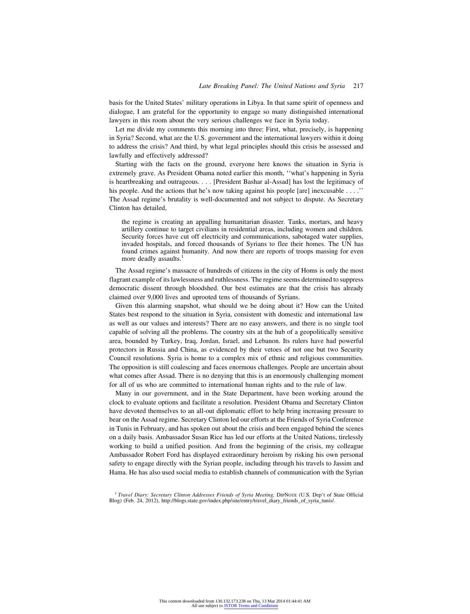basis for the United States' military operations in Libya. In that same spirit of openness and dialogue, I am grateful for the opportunity to engage so many distinguished international lawyers in this room about the very serious challenges we face in Syria today.

Let me divide my comments this morning into three: First, what, precisely, is happening in Syria? Second, what are the U.S. government and the international lawyers within it doing to address the crisis? And third, by what legal principles should this crisis be assessed and lawfully and effectively addressed?

Starting with the facts on the ground, everyone here knows the situation in Syria is extremely grave. As President Obama noted earlier this month, ''what's happening in Syria is heartbreaking and outrageous.... [President Bashar al-Assad] has lost the legitimacy of his people. And the actions that he's now taking against his people [are] inexcusable . . . .'' The Assad regime's brutality is well-documented and not subject to dispute. As Secretary Clinton has detailed,

the regime is creating an appalling humanitarian disaster. Tanks, mortars, and heavy artillery continue to target civilians in residential areas, including women and children. Security forces have cut off electricity and communications, sabotaged water supplies, invaded hospitals, and forced thousands of Syrians to flee their homes. The UN has found crimes against humanity. And now there are reports of troops massing for even more deadly assaults.<sup>1</sup>

The Assad regime's massacre of hundreds of citizens in the city of Homs is only the most flagrant example of its lawlessness and ruthlessness. The regime seems determined to suppress democratic dissent through bloodshed. Our best estimates are that the crisis has already claimed over 9,000 lives and uprooted tens of thousands of Syrians.

Given this alarming snapshot, what should we be doing about it? How can the United States best respond to the situation in Syria, consistent with domestic and international law as well as our values and interests? There are no easy answers, and there is no single tool capable of solving all the problems. The country sits at the hub of a geopolitically sensitive area, bounded by Turkey, Iraq, Jordan, Israel, and Lebanon. Its rulers have had powerful protectors in Russia and China, as evidenced by their vetoes of not one but two Security Council resolutions. Syria is home to a complex mix of ethnic and religious communities. The opposition is still coalescing and faces enormous challenges. People are uncertain about what comes after Assad. There is no denying that this is an enormously challenging moment for all of us who are committed to international human rights and to the rule of law.

Many in our government, and in the State Department, have been working around the clock to evaluate options and facilitate a resolution. President Obama and Secretary Clinton have devoted themselves to an all-out diplomatic effort to help bring increasing pressure to bear on the Assad regime. Secretary Clinton led our efforts at the Friends of Syria Conference in Tunis in February, and has spoken out about the crisis and been engaged behind the scenes on a daily basis. Ambassador Susan Rice has led our efforts at the United Nations, tirelessly working to build a unified position. And from the beginning of the crisis, my colleague Ambassador Robert Ford has displayed extraordinary heroism by risking his own personal safety to engage directly with the Syrian people, including through his travels to Jassim and Hama. He has also used social media to establish channels of communication with the Syrian

<sup>1</sup> Travel Diary: Secretary Clinton Addresses Friends of Syria Meeting, DIPNOTE (U.S. Dep't of State Official Blog) (Feb. 24, 2012), http://blogs.state.gov/index.php/site/entry/travel\_diary\_friends\_of\_syria\_tunis/.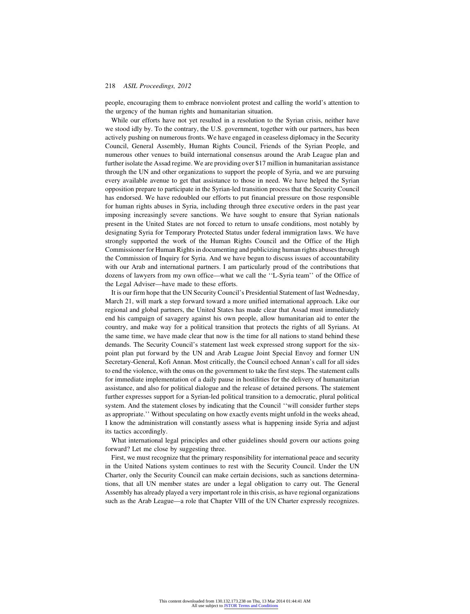people, encouraging them to embrace nonviolent protest and calling the world's attention to the urgency of the human rights and humanitarian situation.

While our efforts have not yet resulted in a resolution to the Syrian crisis, neither have we stood idly by. To the contrary, the U.S. government, together with our partners, has been actively pushing on numerous fronts. We have engaged in ceaseless diplomacy in the Security Council, General Assembly, Human Rights Council, Friends of the Syrian People, and numerous other venues to build international consensus around the Arab League plan and further isolate the Assad regime. We are providing over \$17 million in humanitarian assistance through the UN and other organizations to support the people of Syria, and we are pursuing every available avenue to get that assistance to those in need. We have helped the Syrian opposition prepare to participate in the Syrian-led transition process that the Security Council has endorsed. We have redoubled our efforts to put financial pressure on those responsible for human rights abuses in Syria, including through three executive orders in the past year imposing increasingly severe sanctions. We have sought to ensure that Syrian nationals present in the United States are not forced to return to unsafe conditions, most notably by designating Syria for Temporary Protected Status under federal immigration laws. We have strongly supported the work of the Human Rights Council and the Office of the High Commissioner for Human Rights in documenting and publicizing human rights abuses through the Commission of Inquiry for Syria. And we have begun to discuss issues of accountability with our Arab and international partners. I am particularly proud of the contributions that dozens of lawyers from my own office—what we call the ''L-Syria team'' of the Office of the Legal Adviser—have made to these efforts.

It is our firm hope that the UN Security Council's Presidential Statement of last Wednesday, March 21, will mark a step forward toward a more unified international approach. Like our regional and global partners, the United States has made clear that Assad must immediately end his campaign of savagery against his own people, allow humanitarian aid to enter the country, and make way for a political transition that protects the rights of all Syrians. At the same time, we have made clear that now is the time for all nations to stand behind these demands. The Security Council's statement last week expressed strong support for the sixpoint plan put forward by the UN and Arab League Joint Special Envoy and former UN Secretary-General, Kofi Annan. Most critically, the Council echoed Annan's call for all sides to end the violence, with the onus on the government to take the first steps. The statement calls for immediate implementation of a daily pause in hostilities for the delivery of humanitarian assistance, and also for political dialogue and the release of detained persons. The statement further expresses support for a Syrian-led political transition to a democratic, plural political system. And the statement closes by indicating that the Council ''will consider further steps as appropriate.'' Without speculating on how exactly events might unfold in the weeks ahead, I know the administration will constantly assess what is happening inside Syria and adjust its tactics accordingly.

What international legal principles and other guidelines should govern our actions going forward? Let me close by suggesting three.

First, we must recognize that the primary responsibility for international peace and security in the United Nations system continues to rest with the Security Council. Under the UN Charter, only the Security Council can make certain decisions, such as sanctions determinations, that all UN member states are under a legal obligation to carry out. The General Assembly has already played a very important role in this crisis, as have regional organizations such as the Arab League—a role that Chapter VIII of the UN Charter expressly recognizes.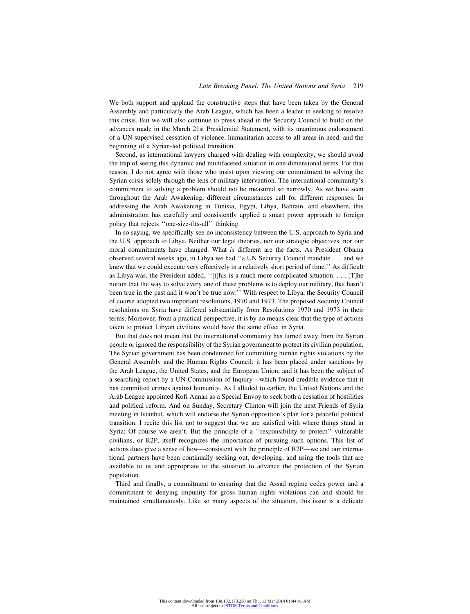We both support and applaud the constructive steps that have been taken by the General Assembly and particularly the Arab League, which has been a leader in seeking to resolve this crisis. But we will also continue to press ahead in the Security Council to build on the advances made in the March 21st Presidential Statement, with its unanimous endorsement of a UN-supervised cessation of violence, humanitarian access to all areas in need, and the beginning of a Syrian-led political transition.

Second, as international lawyers charged with dealing with complexity, we should avoid the trap of seeing this dynamic and multifaceted situation in one-dimensional terms. For that reason, I do not agree with those who insist upon viewing our commitment to solving the Syrian crisis solely through the lens of military intervention. The international community's commitment to solving a problem should not be measured so narrowly. As we have seen throughout the Arab Awakening, different circumstances call for different responses. In addressing the Arab Awakening in Tunisia, Egypt, Libya, Bahrain, and elsewhere, this administration has carefully and consistently applied a smart power approach to foreign policy that rejects ''one-size-fits-all'' thinking.

In so saying, we specifically see no inconsistency between the U.S. approach to Syria and the U.S. approach to Libya. Neither our legal theories, nor our strategic objectives, nor our moral commitments have changed. What *is* different are the facts. As President Obama observed several weeks ago, in Libya we had ''a UN Security Council mandate . . . and we knew that we could execute very effectively in a relatively short period of time.'' As difficult as Libya was, the President added, ''[t]his is a much more complicated situation. . . . [T]he notion that the way to solve every one of these problems is to deploy our military, that hasn't been true in the past and it won't be true now.'' With respect to Libya, the Security Council of course adopted two important resolutions, 1970 and 1973. The proposed Security Council resolutions on Syria have differed substantially from Resolutions 1970 and 1973 in their terms. Moreover, from a practical perspective, it is by no means clear that the type of actions taken to protect Libyan civilians would have the same effect in Syria.

But that does not mean that the international community has turned away from the Syrian people or ignored the responsibility of the Syrian government to protect its civilian population. The Syrian government has been condemned for committing human rights violations by the General Assembly and the Human Rights Council; it has been placed under sanctions by the Arab League, the United States, and the European Union; and it has been the subject of a searching report by a UN Commission of Inquiry—which found credible evidence that it has committed crimes against humanity. As I alluded to earlier, the United Nations and the Arab League appointed Kofi Annan as a Special Envoy to seek both a cessation of hostilities and political reform. And on Sunday, Secretary Clinton will join the next Friends of Syria meeting in Istanbul, which will endorse the Syrian opposition's plan for a peaceful political transition. I recite this list not to suggest that we are satisfied with where things stand in Syria: Of course we aren't. But the principle of a ''responsibility to protect'' vulnerable civilians, or R2P, itself recognizes the importance of pursuing such options. This list of actions does give a sense of how—consistent with the principle of R2P—we and our international partners have been continually seeking out, developing, and using the tools that are available to us and appropriate to the situation to advance the protection of the Syrian population.

Third and finally, a commitment to ensuring that the Assad regime cedes power and a commitment to denying impunity for gross human rights violations can and should be maintained simultaneously. Like so many aspects of the situation, this issue is a delicate